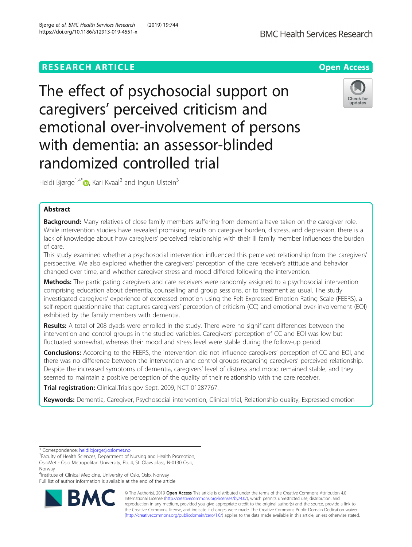# **RESEARCH ARTICLE Example 2018 12:30 THE OPEN ACCESS**

The effect of psychosocial support on caregivers' perceived criticism and emotional over-involvement of persons with dementia: an assessor-blinded randomized controlled trial

Heidi Bjørge<sup>1[,](http://orcid.org/0000-0002-3285-9640)4\*</sup> $\bullet$ , Kari Kvaal<sup>2</sup> and Ingun Ulstein<sup>3</sup>

# Abstract

Background: Many relatives of close family members suffering from dementia have taken on the caregiver role. While intervention studies have revealed promising results on caregiver burden, distress, and depression, there is a lack of knowledge about how caregivers' perceived relationship with their ill family member influences the burden of care.

This study examined whether a psychosocial intervention influenced this perceived relationship from the caregivers' perspective. We also explored whether the caregivers' perception of the care receiver's attitude and behavior changed over time, and whether caregiver stress and mood differed following the intervention.

**Methods:** The participating caregivers and care receivers were randomly assigned to a psychosocial intervention comprising education about dementia, counselling and group sessions, or to treatment as usual. The study investigated caregivers' experience of expressed emotion using the Felt Expressed Emotion Rating Scale (FEERS), a self-report questionnaire that captures caregivers' perception of criticism (CC) and emotional over-involvement (EOI) exhibited by the family members with dementia.

Results: A total of 208 dyads were enrolled in the study. There were no significant differences between the intervention and control groups in the studied variables. Caregivers' perception of CC and EOI was low but fluctuated somewhat, whereas their mood and stress level were stable during the follow-up period.

**Conclusions:** According to the FEERS, the intervention did not influence caregivers' perception of CC and EOI, and there was no difference between the intervention and control groups regarding caregivers' perceived relationship. Despite the increased symptoms of dementia, caregivers' level of distress and mood remained stable, and they seemed to maintain a positive perception of the quality of their relationship with the care receiver.

Trial registration: Clinical.Trials.gov Sept. 2009, NCT 01287767.

Keywords: Dementia, Caregiver, Psychosocial intervention, Clinical trial, Relationship quality, Expressed emotion

4 Institute of Clinical Medicine, University of Oslo, Oslo, Norway Full list of author information is available at the end of the article



© The Author(s). 2019 **Open Access** This article is distributed under the terms of the Creative Commons Attribution 4.0 International License [\(http://creativecommons.org/licenses/by/4.0/](http://creativecommons.org/licenses/by/4.0/)), which permits unrestricted use, distribution, and reproduction in any medium, provided you give appropriate credit to the original author(s) and the source, provide a link to the Creative Commons license, and indicate if changes were made. The Creative Commons Public Domain Dedication waiver [\(http://creativecommons.org/publicdomain/zero/1.0/](http://creativecommons.org/publicdomain/zero/1.0/)) applies to the data made available in this article, unless otherwise stated.





<sup>\*</sup> Correspondence: [heidi.bjorge@oslomet.no](mailto:heidi.bjorge@oslomet.no) <sup>1</sup>

<sup>&</sup>lt;sup>1</sup> Faculty of Health Sciences, Department of Nursing and Health Promotion, OsloMet - Oslo Metropolitan University, Pb. 4, St. Olavs plass, N-0130 Oslo, Norway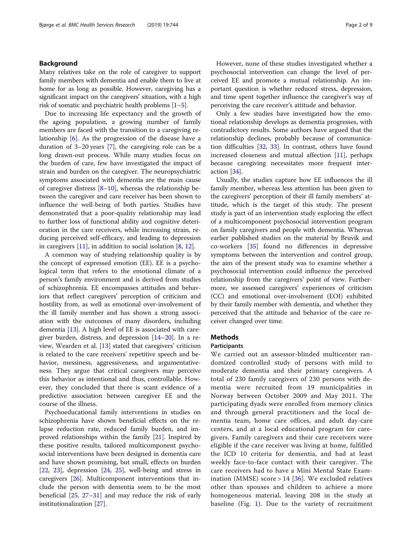# Background

Many relatives take on the role of caregiver to support family members with dementia and enable them to live at home for as long as possible. However, caregiving has a significant impact on the caregivers' situation, with a high risk of somatic and psychiatric health problems  $[1-5]$  $[1-5]$  $[1-5]$ .

Due to increasing life expectancy and the growth of the ageing population, a growing number of family members are faced with the transition to a caregiving relationship [\[6\]](#page-7-0). As the progression of the disease have a duration of 3–20 years [\[7\]](#page-7-0), the caregiving role can be a long drawn-out process. While many studies focus on the burden of care, few have investigated the impact of strain and burden on the caregiver. The neuropsychiatric symptoms associated with dementia are the main cause of caregiver distress  $[8-10]$  $[8-10]$  $[8-10]$  $[8-10]$  $[8-10]$ , whereas the relationship between the caregiver and care receiver has been shown to influence the well-being of both parties. Studies have demonstrated that a poor-quality relationship may lead to further loss of functional ability and cognitive deterioration in the care receivers, while increasing strain, reducing perceived self-efficacy, and leading to depression in caregivers  $[11]$  $[11]$ , in addition to social isolation  $[8, 12]$  $[8, 12]$  $[8, 12]$  $[8, 12]$  $[8, 12]$ .

A common way of studying relationship quality is by the concept of expressed emotion (EE). EE is a psychological term that refers to the emotional climate of a person's family environment and is derived from studies of schizophrenia. EE encompasses attitudes and behaviors that reflect caregivers' perception of criticism and hostility from, as well as emotional over-involvement of the ill family member and has shown a strong association with the outcomes of many disorders, including dementia [[13](#page-7-0)]. A high level of EE is associated with caregiver burden, distress, and depression [[14](#page-7-0)–[20](#page-7-0)]. In a review, Wearden et al. [\[13\]](#page-7-0) stated that caregivers' criticism is related to the care receivers' repetitive speech and behavior, messiness, aggressiveness, and argumentativeness. They argue that critical caregivers may perceive this behavior as intentional and thus, controllable. However, they concluded that there is scant evidence of a predictive association between caregiver EE and the course of the illness.

Psychoeducational family interventions in studies on schizophrenia have shown beneficial effects on the relapse reduction rate, reduced family burden, and improved relationships within the family [\[21\]](#page-7-0). Inspired by these positive results, tailored multicomponent psychosocial interventions have been designed in dementia care and have shown promising, but small, effects on burden [[22,](#page-7-0) [23\]](#page-7-0), depression [\[24](#page-7-0), [25](#page-7-0)], well-being and stress in caregivers [\[26](#page-7-0)]. Multicomponent interventions that include the person with dementia seem to be the most beneficial [[25](#page-7-0), [27](#page-7-0)–[31](#page-7-0)] and may reduce the risk of early institutionalization [[27](#page-7-0)].

However, none of these studies investigated whether a psychosocial intervention can change the level of perceived EE and promote a mutual relationship. An important question is whether reduced stress, depression, and time spent together influence the caregiver's way of perceiving the care receiver's attitude and behavior.

Only a few studies have investigated how the emotional relationship develops as dementia progresses, with contradictory results. Some authors have argued that the relationship declines, probably because of communication difficulties [[32](#page-7-0), [33\]](#page-7-0). In contrast, others have found increased closeness and mutual affection [[11\]](#page-7-0), perhaps because caregiving necessitates more frequent interaction [[34\]](#page-7-0).

Usually, the studies capture how EE influences the ill family member, whereas less attention has been given to the caregivers' perception of their ill family members' attitude, which is the target of this study. The present study is part of an intervention study exploring the effect of a multicomponent psychosocial intervention program on family caregivers and people with dementia. Whereas earlier published studies on the material by Bruvik and co-workers [[35\]](#page-7-0) found no differences in depressive symptoms between the intervention and control group, the aim of the present study was to examine whether a psychosocial intervention could influence the perceived relationship from the caregivers' point of view. Furthermore, we assessed caregivers' experiences of criticism (CC) and emotional over-involvement (EOI) exhibited by their family member with dementia, and whether they perceived that the attitude and behavior of the care receiver changed over time.

# **Methods**

### **Participants**

We carried out an assessor-blinded multicenter randomized controlled study of persons with mild to moderate dementia and their primary caregivers. A total of 230 family caregivers of 230 persons with dementia were recruited from 19 municipalities in Norway between October 2009 and May 2011. The participating dyads were enrolled from memory clinics and through general practitioners and the local dementia team, home care offices, and adult day-care centers, and at a local educational program for caregivers. Family caregivers and their care receivers were eligible if the care receiver was living at home, fulfilled the ICD 10 criteria for dementia, and had at least weekly face-to-face contact with their caregiver. The care receivers had to have a Mini Mental State Examination (MMSE) score  $> 14$  [[36\]](#page-7-0). We excluded relatives other than spouses and children to achieve a more homogeneous material, leaving 208 in the study at baseline (Fig.  $1$ ). Due to the variety of recruitment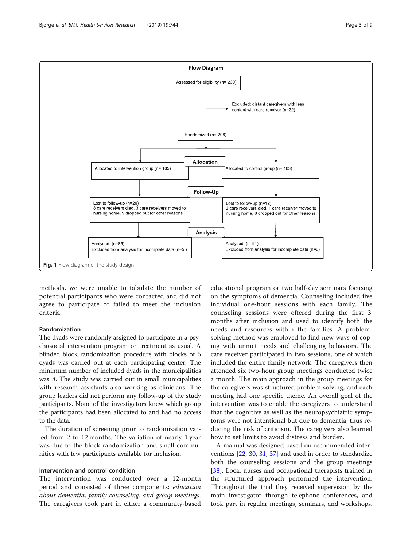<span id="page-2-0"></span>

methods, we were unable to tabulate the number of potential participants who were contacted and did not agree to participate or failed to meet the inclusion criteria.

# Randomization

The dyads were randomly assigned to participate in a psychosocial intervention program or treatment as usual. A blinded block randomization procedure with blocks of 6 dyads was carried out at each participating center. The minimum number of included dyads in the municipalities was 8. The study was carried out in small municipalities with research assistants also working as clinicians. The group leaders did not perform any follow-up of the study participants. None of the investigators knew which group the participants had been allocated to and had no access to the data.

The duration of screening prior to randomization varied from 2 to 12 months. The variation of nearly 1 year was due to the block randomization and small communities with few participants available for inclusion.

### Intervention and control condition

The intervention was conducted over a 12-month period and consisted of three components: education about dementia, family counseling, and group meetings. The caregivers took part in either a community-based

educational program or two half-day seminars focusing on the symptoms of dementia. Counseling included five individual one-hour sessions with each family. The counseling sessions were offered during the first 3 months after inclusion and used to identify both the needs and resources within the families. A problemsolving method was employed to find new ways of coping with unmet needs and challenging behaviors. The care receiver participated in two sessions, one of which included the entire family network. The caregivers then attended six two-hour group meetings conducted twice a month. The main approach in the group meetings for the caregivers was structured problem solving, and each meeting had one specific theme. An overall goal of the intervention was to enable the caregivers to understand that the cognitive as well as the neuropsychiatric symptoms were not intentional but due to dementia, thus reducing the risk of criticism. The caregivers also learned how to set limits to avoid distress and burden.

A manual was designed based on recommended interventions [\[22,](#page-7-0) [30,](#page-7-0) [31,](#page-7-0) [37\]](#page-8-0) and used in order to standardize both the counseling sessions and the group meetings [[38\]](#page-8-0). Local nurses and occupational therapists trained in the structured approach performed the intervention. Throughout the trial they received supervision by the main investigator through telephone conferences, and took part in regular meetings, seminars, and workshops.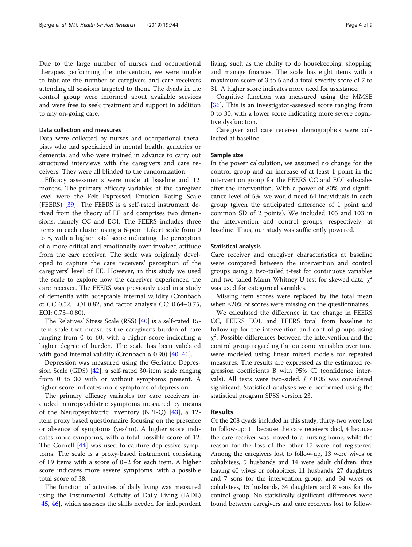Due to the large number of nurses and occupational therapies performing the intervention, we were unable to tabulate the number of caregivers and care receivers attending all sessions targeted to them. The dyads in the control group were informed about available services and were free to seek treatment and support in addition to any on-going care.

### Data collection and measures

Data were collected by nurses and occupational therapists who had specialized in mental health, geriatrics or dementia, and who were trained in advance to carry out structured interviews with the caregivers and care receivers. They were all blinded to the randomization.

Efficacy assessments were made at baseline and 12 months. The primary efficacy variables at the caregiver level were the Felt Expressed Emotion Rating Scale (FEERS) [\[39](#page-8-0)]. The FEERS is a self-rated instrument derived from the theory of EE and comprises two dimensions, namely CC and EOI. The FEERS includes three items in each cluster using a 6-point Likert scale from 0 to 5, with a higher total score indicating the perception of a more critical and emotionally over-involved attitude from the care receiver. The scale was originally developed to capture the care receivers' perception of the caregivers' level of EE. However, in this study we used the scale to explore how the caregiver experienced the care receiver. The FEERS was previously used in a study of dementia with acceptable internal validity (Cronbach α: CC 0.52, EOI 0.82, and factor analysis CC: 0.64–0.75, EOI: 0.73–0.80).

The Relatives' Stress Scale (RSS) [[40](#page-8-0)] is a self-rated 15 item scale that measures the caregiver's burden of care ranging from 0 to 60, with a higher score indicating a higher degree of burden. The scale has been validated with good internal validity (Cronbach  $\alpha$  0.90) [\[40,](#page-8-0) [41\]](#page-8-0).

Depression was measured using the Geriatric Depression Scale (GDS) [[42](#page-8-0)], a self-rated 30-item scale ranging from 0 to 30 with or without symptoms present. A higher score indicates more symptoms of depression.

The primary efficacy variables for care receivers included neuropsychiatric symptoms measured by means of the Neuropsychiatric Inventory (NPI-Q) [[43\]](#page-8-0), a 12 item proxy based questionnaire focusing on the presence or absence of symptoms (yes/no). A higher score indicates more symptoms, with a total possible score of 12. The Cornell [\[44](#page-8-0)] was used to capture depressive symptoms. The scale is a proxy-based instrument consisting of 19 items with a score of 0–2 for each item. A higher score indicates more severe symptoms, with a possible total score of 38.

The function of activities of daily living was measured using the Instrumental Activity of Daily Living (IADL) [[45](#page-8-0), [46](#page-8-0)], which assesses the skills needed for independent living, such as the ability to do housekeeping, shopping, and manage finances. The scale has eight items with a maximum score of 3 to 5 and a total severity score of 7 to 31. A higher score indicates more need for assistance.

Cognitive function was measured using the MMSE [[36\]](#page-7-0). This is an investigator-assessed score ranging from 0 to 30, with a lower score indicating more severe cognitive dysfunction.

Caregiver and care receiver demographics were collected at baseline.

### Sample size

In the power calculation, we assumed no change for the control group and an increase of at least 1 point in the intervention group for the FEERS CC and EOI subscales after the intervention. With a power of 80% and significance level of 5%, we would need 64 individuals in each group (given the anticipated difference of 1 point and common SD of 2 points). We included 105 and 103 in the intervention and control groups, respectively, at baseline. Thus, our study was sufficiently powered.

### Statistical analysis

Care receiver and caregiver characteristics at baseline were compared between the intervention and control groups using a two-tailed t-test for continuous variables and two-tailed Mann-Whitney U test for skewed data;  $\chi^2$ was used for categorical variables.

Missing item scores were replaced by the total mean when  $\leq$ 20% of scores were missing on the questionnaires.

We calculated the difference in the change in FEERS CC, FEERS EOI, and FEERS total from baseline to follow-up for the intervention and control groups using  $\chi^2$ . Possible differences between the intervention and the control group regarding the outcome variables over time were modeled using linear mixed models for repeated measures. The results are expressed as the estimated regression coefficients B with 95% CI (confidence intervals). All tests were two-sided.  $P \le 0.05$  was considered significant. Statistical analyses were performed using the statistical program SPSS version 23.

### Results

Of the 208 dyads included in this study, thirty-two were lost to follow-up: 11 because the care receivers died, 4 because the care receiver was moved to a nursing home, while the reason for the loss of the other 17 were not registered. Among the caregivers lost to follow-up, 13 were wives or cohabitees, 5 husbands and 14 were adult children, thus leaving 40 wives or cohabitees, 11 husbands, 27 daughters and 7 sons for the intervention group, and 34 wives or cohabitees, 15 husbands, 34 daughters and 8 sons for the control group. No statistically significant differences were found between caregivers and care receivers lost to follow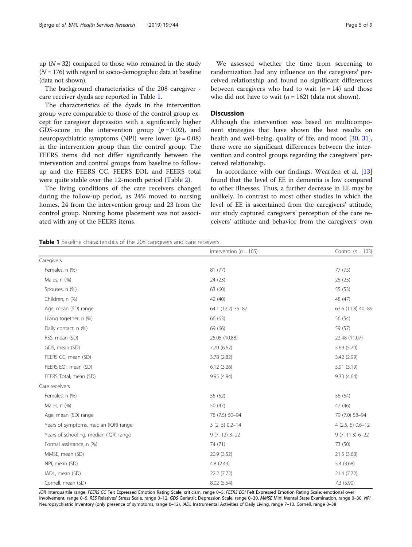up  $(N = 32)$  compared to those who remained in the study  $(N = 176)$  with regard to socio-demographic data at baseline (data not shown).

The background characteristics of the 208 caregiver care receiver dyads are reported in Table 1.

The characteristics of the dyads in the intervention group were comparable to those of the control group except for caregiver depression with a significantly higher GDS-score in the intervention group  $(p = 0.02)$ , and neuropsychiatric symptoms (NPI) were lower ( $p = 0.08$ ) in the intervention group than the control group. The FEERS items did not differ significantly between the intervention and control groups from baseline to followup and the FEERS CC, FEERS EOI, and FEERS total were quite stable over the 12-month period (Table [2](#page-5-0)).

The living conditions of the care receivers changed during the follow-up period, as 24% moved to nursing homes, 24 from the intervention group and 23 from the control group. Nursing home placement was not associated with any of the FEERS items.

We assessed whether the time from screening to randomization had any influence on the caregivers' perceived relationship and found no significant differences between caregivers who had to wait  $(n = 14)$  and those who did not have to wait  $(n = 162)$  (data not shown).

# **Discussion**

Although the intervention was based on multicomponent strategies that have shown the best results on health and well-being, quality of life, and mood [\[30,](#page-7-0) [31](#page-7-0)], there were no significant differences between the intervention and control groups regarding the caregivers' perceived relationship.

In accordance with our findings, Wearden et al. [[13](#page-7-0)] found that the level of EE in dementia is low compared to other illnesses. Thus, a further decrease in EE may be unlikely. In contrast to most other studies in which the level of EE is ascertained from the caregivers' attitude, our study captured caregivers' perception of the care receivers' attitude and behavior from the caregivers' own

#### Table 1 Baseline characteristics of the 208 caregivers and care receivers

|                                        | Intervention ( $n = 105$ ) | Control ( $n = 103$ ) |
|----------------------------------------|----------------------------|-----------------------|
| Caregivers                             |                            |                       |
| Females, n (%)                         | 81(77)                     | 77 (75)               |
| Males, n (%)                           | 24(23)                     | 26(25)                |
| Spouses, n (%)                         | 63 (60)                    | 55 (53)               |
| Children, n (%)                        | 42 (40)                    | 48 (47)               |
| Age, mean (SD) range                   | 64.1 (12.2) 35-87          | 63.6 (11.8) 40-89     |
| Living together, n (%)                 | 66 (63)                    | 56 (54)               |
| Daily contact, n (%)                   | 69 (66)                    | 59 (57)               |
| RSS, mean (SD)                         | 25.05 (10.88)              | 23.48 (11.07)         |
| GDS, mean (SD)                         | 7.70(6.62)                 | 5.69 (5.70)           |
| FEERS CC, mean (SD)                    | 3.78 (2.82)                | 3.42 (2.99)           |
| FEERS EOI, mean (SD)                   | 6.12(3.26)                 | 5.91(3.19)            |
| FEERS Total, mean (SD)                 | 9.95 (4.94)                | 9.33 (4.64)           |
| Care receivers                         |                            |                       |
| Females, n (%)                         | 55 (52)                    | 56 (54)               |
| Males, n (%)                           | 50 (47)                    | 47 (46)               |
| Age, mean (SD) range                   | 78 (7.5) 60-94             | 79 (7.0) 58-94        |
| Years of symptoms, median (IQR) range  | $3(2, 5) 0.2 - 14$         | $4(2.5, 6)0.6 - 12$   |
| Years of schooling, median (IQR) range | $9(7, 12)$ 3-22            | $9(7, 11.3) 6 - 22$   |
| Formal assistance, n (%)               | 74 (71)                    | 73 (50)               |
| MMSE, mean (SD)                        | 20.9 (3.52)                | 21.5 (3.68)           |
| NPI, mean (SD)                         | 4.8(2.43)                  | 5.4(3.68)             |
| IADL, mean (SD)                        | 22.2 (7.72)                | 21.4 (7.72)           |
| Cornell, mean (SD)                     | 8.02 (5.54)                | 7.3(5.90)             |

IQR Interquartile range, FEERS CC Felt Expressed Emotion Rating Scale; criticism, range 0-5. FEERS EOI Felt Expressed Emotion Rating Scale; emotional over involvement, range 0–5. RSS Relatives' Stress Scale, range 0–12, GDS Geriatric Depression Scale, range 0–30, MMSE Mini Mental State Examination, range 0–30, NPI Neuropsychiatric Inventory (only presence of symptoms, range 0–12), IADL Instrumental Activities of Daily Living, range 7–13. Cornell, range 0–38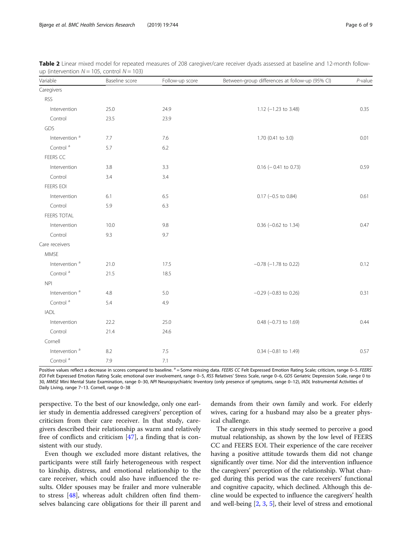| Variable                  | Baseline score | Follow-up score | Between-group differences at follow-up (95% CI) | $P$ -value |
|---------------------------|----------------|-----------------|-------------------------------------------------|------------|
| Caregivers                |                |                 |                                                 |            |
| <b>RSS</b>                |                |                 |                                                 |            |
| Intervention              | 25.0           | 24.9            | $1.12$ (-1.23 to 3.48)                          | 0.35       |
| Control                   | 23.5           | 23.9            |                                                 |            |
| GDS                       |                |                 |                                                 |            |
| Intervention <sup>a</sup> | 7.7            | 7.6             | 1.70 (0.41 to 3.0)                              | 0.01       |
| Control <sup>a</sup>      | 5.7            | 6.2             |                                                 |            |
| FEERS CC                  |                |                 |                                                 |            |
| Intervention              | 3.8            | 3.3             | $0.16$ ( $-0.41$ to 0.73)                       | 0.59       |
| Control                   | 3.4            | 3.4             |                                                 |            |
| FEERS EOI                 |                |                 |                                                 |            |
| Intervention              | 6.1            | 6.5             | $0.17$ (-0.5 to 0.84)                           | 0.61       |
| Control                   | 5.9            | 6.3             |                                                 |            |
| FEERS TOTAL               |                |                 |                                                 |            |
| Intervention              | 10.0           | 9.8             | $0.36$ ( $-0.62$ to 1.34)                       | 0.47       |
| Control                   | 9.3            | 9.7             |                                                 |            |
| Care receivers            |                |                 |                                                 |            |
| <b>MMSE</b>               |                |                 |                                                 |            |
| Intervention <sup>a</sup> | 21.0           | 17.5            | $-0.78$ ( $-1.78$ to 0.22)                      | 0.12       |
| Control <sup>a</sup>      | 21.5           | 18.5            |                                                 |            |
| NPI                       |                |                 |                                                 |            |
| Intervention <sup>a</sup> | 4.8            | 5.0             | $-0.29$ ( $-0.83$ to 0.26)                      | 0.31       |
| Control <sup>a</sup>      | 5.4            | 4.9             |                                                 |            |
| <b>IADL</b>               |                |                 |                                                 |            |
| Intervention              | 22.2           | 25.0            | $0.48$ (-0.73 to 1.69)                          | 0.44       |
| Control                   | 21.4           | 24.6            |                                                 |            |
| Cornell                   |                |                 |                                                 |            |
| Intervention <sup>a</sup> | 8.2            | 7.5             | $0.34$ (-0.81 to 1.49)                          | 0.57       |
| Control <sup>a</sup>      | 7.9            | 7.1             |                                                 |            |

<span id="page-5-0"></span>Table 2 Linear mixed model for repeated measures of 208 caregiver/care receiver dyads assessed at baseline and 12-month followup (intervention  $N = 105$ , control  $N = 103$ )

Positive values reflect a decrease in scores compared to baseline. <sup>a</sup> = Some missing data. FEERS CC Felt Expressed Emotion Rating Scale; criticism, range 0-5. FEERS EOI Felt Expressed Emotion Rating Scale; emotional over involvement, range 0–5, RSS Relatives' Stress Scale, range 0–6, GDS Geriatric Depression Scale, range 0 to 30, MMSE Mini Mental State Examination, range 0-30, NPI Neuropsychiatric Inventory (only presence of symptoms, range 0-12), IADL Instrumental Activities of Daily Living, range 7–13. Cornell, range 0–38

perspective. To the best of our knowledge, only one earlier study in dementia addressed caregivers' perception of criticism from their care receiver. In that study, caregivers described their relationship as warm and relatively free of conflicts and criticism [[47](#page-8-0)], a finding that is consistent with our study.

Even though we excluded more distant relatives, the participants were still fairly heterogeneous with respect to kinship, distress, and emotional relationship to the care receiver, which could also have influenced the results. Older spouses may be frailer and more vulnerable to stress [[48\]](#page-8-0), whereas adult children often find themselves balancing care obligations for their ill parent and

demands from their own family and work. For elderly wives, caring for a husband may also be a greater physical challenge.

The caregivers in this study seemed to perceive a good mutual relationship, as shown by the low level of FEERS CC and FEERS EOI. Their experience of the care receiver having a positive attitude towards them did not change significantly over time. Nor did the intervention influence the caregivers' perception of the relationship. What changed during this period was the care receivers' functional and cognitive capacity, which declined. Although this decline would be expected to influence the caregivers' health and well-being [[2,](#page-7-0) [3](#page-7-0), [5](#page-7-0)], their level of stress and emotional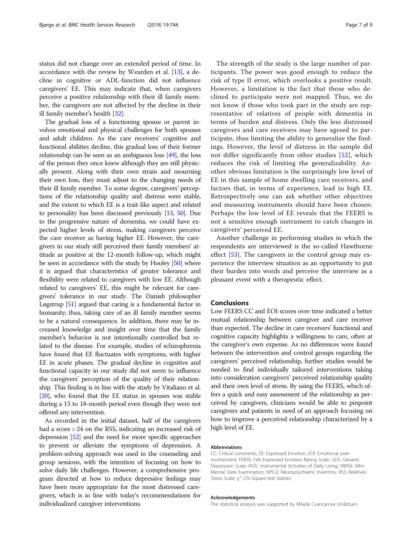status did not change over an extended period of time. In accordance with the review by Wearden et al. [\[13](#page-7-0)], a decline in cognitive or ADL-function did not influence caregivers' EE. This may indicate that, when caregivers perceive a positive relationship with their ill family member, the caregivers are not affected by the decline in their ill family member's health [[32](#page-7-0)].

The gradual loss of a functioning spouse or parent involves emotional and physical challenges for both spouses and adult children. As the care receivers' cognitive and functional abilities decline, this gradual loss of their former relationship can be seen as an ambiguous loss [\[49\]](#page-8-0), the loss of the person they once knew although they are still physically present. Along with their own strain and mourning their own loss, they must adjust to the changing needs of their ill family member. To some degree, caregivers' perceptions of the relationship quality and distress were stable, and the extent to which EE is a trait-like aspect and related to personality has been discussed previously [[13](#page-7-0), [50](#page-8-0)]. Due to the progressive nature of dementia, we could have expected higher levels of stress, making caregivers perceive the care receiver as having higher EE. However, the caregivers in our study still perceived their family members' attitude as positive at the 12-month follow-up, which might be seen in accordance with the study by Hooley [\[50\]](#page-8-0) where it is argued that characteristics of greater tolerance and flexibility were related to caregivers with low EE. Although related to caregivers' EE, this might be relevant for caregivers' tolerance in our study. The Danish philosopher Løgstrup [[51](#page-8-0)] argued that caring is a fundamental factor in humanity; thus, taking care of an ill family member seems to be a natural consequence. In addition, there may be increased knowledge and insight over time that the family member's behavior is not intentionally controlled but related to the disease. For example, studies of schizophrenia have found that EE fluctuates with symptoms, with higher EE in acute phases. The gradual decline in cognitive and functional capacity in our study did not seem to influence the caregivers' perception of the quality of their relationship. This finding is in line with the study by Vitaliano et al. [[20](#page-7-0)], who found that the EE status in spouses was stable during a 15 to 18-month period even though they were not offered any intervention.

As recorded in the initial dataset, half of the caregivers had a score > 24 on the RSS, indicating an increased risk of depression [[52](#page-8-0)] and the need for more specific approaches to prevent or alleviate the symptoms of depression. A problem-solving approach was used in the counseling and group sessions, with the intention of focusing on how to solve daily life challenges. However, a comprehensive program directed at how to reduce depressive feelings may have been more appropriate for the most distressed caregivers, which is in line with today's recommendations for individualized caregiver interventions.

The strength of the study is the large number of participants. The power was good enough to reduce the risk of type II error, which overlooks a positive result. However, a limitation is the fact that those who declined to participate were not mapped. Thus, we do not know if those who took part in the study are representative of relatives of people with dementia in terms of burden and distress. Only the less distressed caregivers and care receivers may have agreed to participate, thus limiting the ability to generalize the findings. However, the level of distress in the sample did not differ significantly from other studies [\[52\]](#page-8-0), which reduces the risk of limiting the generalizability. Another obvious limitation is the surprisingly low level of EE in this sample of home dwelling care receivers, and factors that, in terms of experience, lead to high EE. Retrospectively one can ask whether other objectives and measuring instruments should have been chosen. Perhaps the low level of EE reveals that the FEERS is not a sensitive enough instrument to catch changes in caregivers' perceived EE.

Another challenge in performing studies in which the respondents are interviewed is the so-called Hawthorne effect  $[53]$  $[53]$  $[53]$ . The caregivers in the control group may experience the interview situation as an opportunity to put their burden into words and perceive the interview as a pleasant event with a therapeutic effect.

### Conclusions

Low FEERS CC and EOI scores over time indicated a better mutual relationship between caregiver and care receiver than expected. The decline in care receivers' functional and cognitive capacity highlights a willingness to care, often at the caregiver's own expense. As no differences were found between the intervention and control groups regarding the caregivers' perceived relationship, further studies would be needed to find individually tailored interventions taking into consideration caregivers' perceived relationship quality and their own level of stress. By using the FEERS, which offers a quick and easy assessment of the relationship as perceived by caregivers, clinicians would be able to pinpoint caregivers and patients in need of an approach focusing on how to improve a perceived relationship characterized by a high level of EE.

### Abbreviations

CC: Critical comments; EE: Expressed Emotion; EOI: Emotional overinvolvement; FEERS: Felt Expressed Emotion Rating Scale; GDS: Geriatric Depression Scale; IADL: Instrumental Activities of Daily Living; MMSE: Mini Mental State Examination; NPI-Q: Neuropsychiatric Inventory; RSS: Relatives' Stress Scale; χ 2 : Chi-Square test statistic

#### Acknowledgements

The statistical analysis was supported by Milada Cvancarova Småstuen.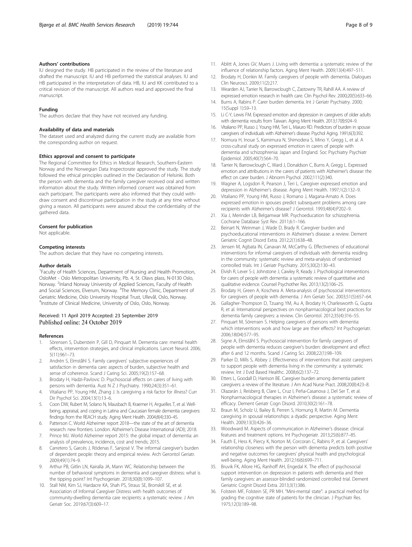### <span id="page-7-0"></span>Authors' contributions

IU designed the study. HB participated in the review of the literature and drafted the manuscript. IU and HB performed the statistical analyses. IU and HB participated in the interpretation of data. HB, IU and KK contributed to a critical revision of the manuscript. All authors read and approved the final manuscript.

### Funding

The authors declare that they have not received any funding.

#### Availability of data and materials

The dataset used and analyzed during the current study are available from the corresponding author on request.

#### Ethics approval and consent to participate

The Regional Committee for Ethics in Medical Research, Southern-Eastern Norway and the Norwegian Data Inspectorate approved the study. The study followed the ethical principles outlined in the Declaration of Helsinki. Both the person with dementia and the family caregiver received oral and written information about the study. Written informed consent was obtained from each participant. The participants were also informed that they could withdraw consent and discontinue participation in the study at any time without giving a reason. All participants were assured about the confidentiality of the gathered data.

#### Consent for publication

Not applicable.

#### Competing interests

The authors declare that they have no competing interests.

#### Author details

<sup>1</sup> Faculty of Health Sciences, Department of Nursing and Health Promotion, OsloMet - Oslo Metropolitan University, Pb. 4, St. Olavs plass, N-0130 Oslo, Norway. <sup>2</sup>Inland Norway University of Applied Sciences, Faculty of Health and Social Sciences, Elverum, Norway. <sup>3</sup>The Memory Clinic, Department of Geriatric Medicine, Oslo University Hospital Trust, Ullevål, Oslo, Norway. 4 Institute of Clinical Medicine, University of Oslo, Oslo, Norway.

### Received: 11 April 2019 Accepted: 23 September 2019 Published online: 24 October 2019

### References

- 1. Sörensen S, Duberstein P, Gill D, Pinquart M. Dementia care: mental health effects, intervention strategies, and clinical implications. Lancet Neurol. 2006; 5(11):961–73.
- 2. Andrén S, Elmståhl S. Family caregivers' subjective experiences of satisfaction in dementia care: aspects of burden, subjective health and sense of coherence. Scand J Caring Sci. 2005;19(2):157–68.
- 3. Brodaty H, Hadzi-Pavlovic D. Psychosocial effects on carers of living with persons with dementia. Aust N Z J Psychiatry. 1990;24(3):351–61.
- Vitaliano PP, Young HM, Zhang J. Is caregiving a risk factor for illness? Curr Dir Psychol Sci. 2004;13(1):13–6.
- Coon DW, Rubert M, Solano N, Mausbach B, Kraemer H, Arguelles T, et al. Wellbeing, appraisal, and coping in Latina and Caucasian female dementia caregivers: findings from the REACH study. Aging Ment Health. 2004;8(4):330–45.
- 6. Patterson C. World Alzheimer report 2018—the state of the art of dementia research: new frontiers. London: Alzheimer's Disease International (ADI); 2018.
- 7. Prince MJ. World Alzheimer report 2015: the global impact of dementia: an analysis of prevalence, incidence, cost and trends; 2015.
- Carretero S, Garcés J, Ródenas F, Sanjosé V. The informal caregiver's burden of dependent people: theory and empirical review. Arch Gerontol Geriatr. 2009;49(1):74–9.
- Arthur PB, Gitlin LN, Kairalla JA, Mann WC. Relationship between the number of behavioral symptoms in dementia and caregiver distress: what is the tipping point? Int Psychogeriatr. 2018;30(8):1099–107.
- 10. Stall NM, Kim SJ, Hardacre KA, Shah PS, Straus SE, Bronskill SE, et al. Association of Informal Caregiver Distress with health outcomes of community-dwelling dementia care recipients: a systematic review. J Am Geriatr Soc. 2019;67(3):609–17.
- 11. Ablitt A, Jones GV, Muers J. Living with dementia: a systematic review of the influence of relationship factors. Aging Ment Health. 2009;13(4):497–511.
- 12. Brodaty H, Donkin M. Family caregivers of people with dementia. Dialogues Clin Neurosci. 2009;11(2):217.
- 13. Wearden AJ, Tarrier N, Barrowclough C, Zastowny TR, Rahill AA. A review of expressed emotion research in health care. Clin Psychol Rev. 2000;20(5):633–66.
- 14. Burns A, Rabins P. Carer burden dementia. Int J Geriatr Psychiatry. 2000; 15(Suppl 1):S9–13.
- 15. Li C-Y, Lewis FM. Expressed emotion and depression in caregivers of older adults with dementia: results from Taiwan. Aging Ment Health. 2013;17(8):924–9.
- 16. Vitaliano PP, Russo J, Young HM, Teri L, Maiuro RD. Predictors of burden in spouse caregivers of individuals with Alzheimer's disease. Psychol Aging. 1991;6(3):392.
- 17. Nomura H, Inoue S, Kamimura N, Shimodera S, Mino Y, Gregg L, et al. A cross-cultural study on expressed emotion in carers of people with dementia and schizophrenia: Japan and England. Soc Psychiatry Psychiatr Epidemiol. 2005;40(7):564–70.
- 18. Tarrier N, Barrowclough C, Ward J, Donaldson C, Burns A, Gregg L. Expressed emotion and attributions in the carers of patients with Alzheimer's disease: the effect on carer burden. J Abnorm Psychol. 2002;111(2):340.
- 19. Wagner A, Logsdon R, Pearson J, Teri L. Caregiver expressed emotion and depression in Alzheimer's disease. Aging Ment Health. 1997;1(2):132–9.
- 20. Vitaliano PP, Young HM, Russo J, Romano J, Magana-Amato A. Does expressed emotion in spouses predict subsequent problems among care recipients with Alzheimer's disease? J Gerontol. 1993;48(4):P202–9.
- 21. Xia J, Merinder LB, Belgamwar MR. Psychoeducation for schizophrenia. Cochrane Database Syst Rev. 2011;6:1–166.
- 22. Beinart N, Weinman J, Wade D, Brady R. Caregiver burden and psychoeducational interventions in Alzheimer's disease: a review. Dement Geriatric Cognit Disord Extra. 2012;2(1):638–48.
- 23. Jensen M, Agbata IN, Canavan M, McCarthy G. Effectiveness of educational interventions for informal caregivers of individuals with dementia residing in the community: systematic review and meta-analysis of randomised controlled trials. Int J Geriatr Psychiatry. 2015;30(2):130–43.
- 24. Elvish R, Lever S-J, Johnstone J, Cawley R, Keady J. Psychological interventions for carers of people with dementia: a systematic review of quantitative and qualitative evidence. Counsel Psychother Res. 2013;13(2):106–25.
- 25. Brodaty H, Green A, Koschera A. Meta-analysis of psychosocial interventions for caregivers of people with dementia. J Am Geriatr Soc. 2003;51(5):657–64.
- 26. Gallagher-Thompson D, Tzuang YM, Au A, Brodaty H, Charlesworth G, Gupta R, et al. International perspectives on nonpharmacological best practices for dementia family caregivers: a review. Clin Gerontol. 2012;35(4):316–55.
- 27. Pinquart M, Sörensen S. Helping caregivers of persons with dementia: which interventions work and how large are their effects? Int Psychogeriatr. 2006;18(04):577–95.
- 28. Signe A, Elmståhl S. Psychosocial intervention for family caregivers of people with dementia reduces caregiver's burden: development and effect after 6 and 12 months. Scand J Caring Sci. 2008;22(1):98–109.
- 29. Parker D, Mills S, Abbey J. Effectiveness of interventions that assist caregivers to support people with dementia living in the community: a systematic review. Int J Evid Based Healthc. 2008;6(2):137–72.
- 30. Etters L, Goodall D, Harrison BE. Caregiver burden among dementia patient caregivers: a review of the literature. J Am Acad Nurse Pract. 2008;20(8):423–8.
- 31. Olazarán J, Reisberg B, Clare L, Cruz I, Peña-Casanova J, Del Ser T, et al. Nonpharmacological therapies in Alzheimer's disease: a systematic review of efficacy. Dement Geriatr Cogn Disord. 2010;30(2):161–78.
- 32. Braun M, Scholz U, Bailey B, Perren S, Hornung R, Martin M. Dementia caregiving in spousal relationships: a dyadic perspective. Aging Ment Health. 2009;13(3):426–36.
- 33. Woodward M. Aspects of communication in Alzheimer's disease: clinical features and treatment options. Int Psychogeriatr. 2013;25(6):877–85.
- 34. Fauth E, Hess K, Piercy K, Norton M, Corcoran C, Rabins P, et al. Caregivers' relationship closeness with the person with dementia predicts both positive and negative outcomes for caregivers' physical health and psychological well-being. Aging Ment Health. 2012;16(6):699–711.
- 35. Bruvik FK, Allore HG, Ranhoff AH, Engedal K. The effect of psychosocial support intervention on depression in patients with dementia and their family caregivers: an assessor-blinded randomized controlled trial. Dement Geriatric Cognit Disord Extra. 2013;3(1):386.
- 36. Folstein MF, Folstein SE, PR MH. "Mini-mental state": a practical method for grading the cognitive state of patients for the clinician. J Psychiatr Res. 1975;12(3):189–98.